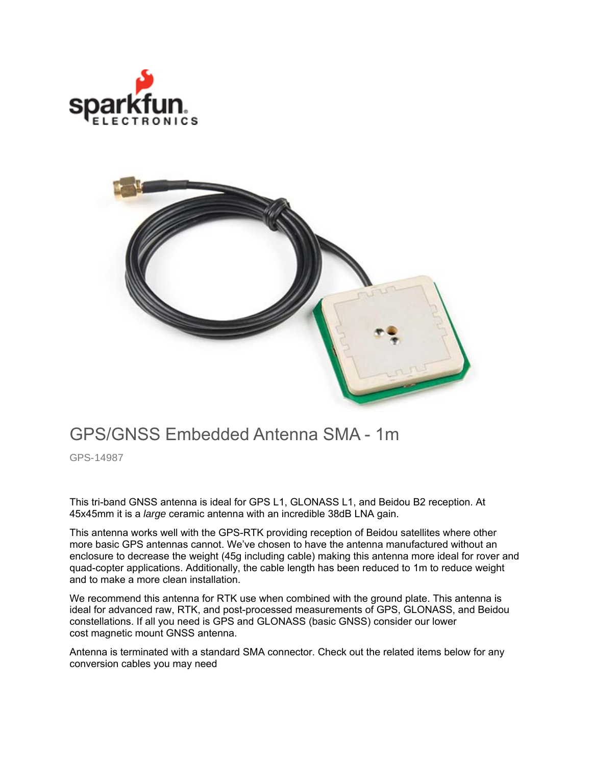



## GPS/GNSS Embedded Antenna SMA - 1m

GPS-14987

This tri-band GNSS antenna is ideal for GPS L1, GLONASS L1, and Beidou B2 reception. At 45x45mm it is a *large* ceramic antenna with an incredible 38dB LNA gain.

This antenna works well with the GPS-RTK providing reception of Beidou satellites where other more basic GPS antennas cannot. We've chosen to have the antenna manufactured without an enclosure to decrease the weight (45g including cable) making this antenna more ideal for rover and quad-copter applications. Additionally, the cable length has been reduced to 1m to reduce weight and to make a more clean installation.

We recommend this antenna for RTK use when combined with the ground plate. This antenna is ideal for advanced raw, RTK, and post-processed measurements of GPS, GLONASS, and Beidou constellations. If all you need is GPS and GLONASS (basic GNSS) consider our lower cost magnetic mount GNSS antenna.

Antenna is terminated with a standard SMA connector. Check out the related items below for any conversion cables you may need